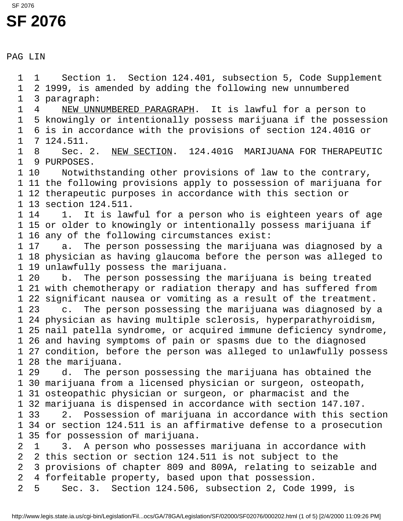## **SF 2076** SF 2076

PAG LIN

 1 1 Section 1. Section 124.401, subsection 5, Code Supplement 1 2 1999, is amended by adding the following new unnumbered 1 3 paragraph: 1 4 NEW UNNUMBERED PARAGRAPH. It is lawful for a person to 1 5 knowingly or intentionally possess marijuana if the possession 1 6 is in accordance with the provisions of section 124.401G or 1 7 124.511. 1 8 Sec. 2. NEW SECTION. 124.401G MARIJUANA FOR THERAPEUTIC 1 9 PURPOSES. 1 10 Notwithstanding other provisions of law to the contrary, 1 11 the following provisions apply to possession of marijuana for 1 12 therapeutic purposes in accordance with this section or 1 13 section 124.511. 1 14 1. It is lawful for a person who is eighteen years of age 1 15 or older to knowingly or intentionally possess marijuana if 1 16 any of the following circumstances exist: 1 17 a. The person possessing the marijuana was diagnosed by a 1 18 physician as having glaucoma before the person was alleged to 1 19 unlawfully possess the marijuana. 1 20 b. The person possessing the marijuana is being treated 1 21 with chemotherapy or radiation therapy and has suffered from 1 22 significant nausea or vomiting as a result of the treatment. 1 23 c. The person possessing the marijuana was diagnosed by a 1 24 physician as having multiple sclerosis, hyperparathyroidism, 1 25 nail patella syndrome, or acquired immune deficiency syndrome, 1 26 and having symptoms of pain or spasms due to the diagnosed 1 27 condition, before the person was alleged to unlawfully possess 1 28 the marijuana. 1 29 d. The person possessing the marijuana has obtained the 1 30 marijuana from a licensed physician or surgeon, osteopath, 1 31 osteopathic physician or surgeon, or pharmacist and the 1 32 marijuana is dispensed in accordance with section 147.107. 1 33 2. Possession of marijuana in accordance with this section 1 34 or section 124.511 is an affirmative defense to a prosecution 1 35 for possession of marijuana. 2 1 3. A person who possesses marijuana in accordance with 2 2 this section or section 124.511 is not subject to the 2 3 provisions of chapter 809 and 809A, relating to seizable and 2 4 forfeitable property, based upon that possession. 2 5 Sec. 3. Section 124.506, subsection 2, Code 1999, is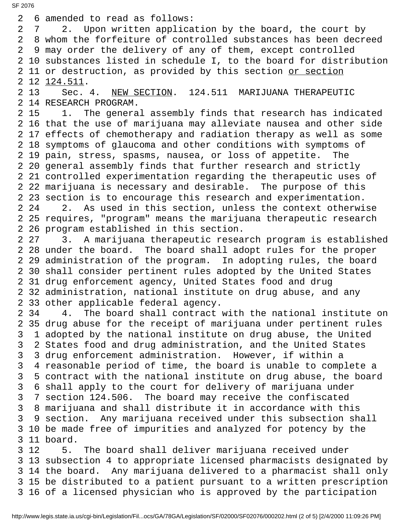2 6 amended to read as follows: 2 7 2. Upon written application by the board, the court by 2 8 whom the forfeiture of controlled substances has been decreed 2 9 may order the delivery of any of them, except controlled 2 10 substances listed in schedule I, to the board for distribution 2 11 or destruction, as provided by this section or section 2 12 124.511. 2 13 Sec. 4. NEW SECTION. 124.511 MARIJUANA THERAPEUTIC 2 14 RESEARCH PROGRAM. 2 15 1. The general assembly finds that research has indicated 2 16 that the use of marijuana may alleviate nausea and other side 2 17 effects of chemotherapy and radiation therapy as well as some 2 18 symptoms of glaucoma and other conditions with symptoms of 2 19 pain, stress, spasms, nausea, or loss of appetite. The 2 20 general assembly finds that further research and strictly 2 21 controlled experimentation regarding the therapeutic uses of 2 22 marijuana is necessary and desirable. The purpose of this 2 23 section is to encourage this research and experimentation. 2 24 2. As used in this section, unless the context otherwise 2 25 requires, "program" means the marijuana therapeutic research 2 26 program established in this section. 2 27 3. A marijuana therapeutic research program is established 2 28 under the board. The board shall adopt rules for the proper 2 29 administration of the program. In adopting rules, the board 2 30 shall consider pertinent rules adopted by the United States 2 31 drug enforcement agency, United States food and drug 2 32 administration, national institute on drug abuse, and any 2 33 other applicable federal agency. 2 34 4. The board shall contract with the national institute on 2 35 drug abuse for the receipt of marijuana under pertinent rules 3 1 adopted by the national institute on drug abuse, the United 3 2 States food and drug administration, and the United States 3 3 drug enforcement administration. However, if within a 3 4 reasonable period of time, the board is unable to complete a 3 5 contract with the national institute on drug abuse, the board 3 6 shall apply to the court for delivery of marijuana under 3 7 section 124.506. The board may receive the confiscated 3 8 marijuana and shall distribute it in accordance with this 3 9 section. Any marijuana received under this subsection shall 3 10 be made free of impurities and analyzed for potency by the 3 11 board. 3 12 5. The board shall deliver marijuana received under 3 13 subsection 4 to appropriate licensed pharmacists designated by 3 14 the board. Any marijuana delivered to a pharmacist shall only

 3 15 be distributed to a patient pursuant to a written prescription 3 16 of a licensed physician who is approved by the participation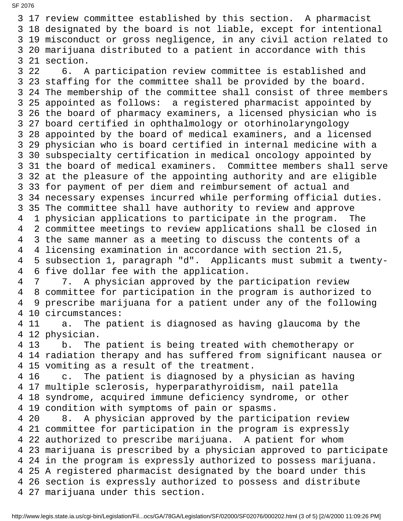3 17 review committee established by this section. A pharmacist 3 18 designated by the board is not liable, except for intentional 3 19 misconduct or gross negligence, in any civil action related to 3 20 marijuana distributed to a patient in accordance with this 3 21 section. 3 22 6. A participation review committee is established and 3 23 staffing for the committee shall be provided by the board. 3 24 The membership of the committee shall consist of three members 3 25 appointed as follows: a registered pharmacist appointed by 3 26 the board of pharmacy examiners, a licensed physician who is 3 27 board certified in ophthalmology or otorhinolaryngology 3 28 appointed by the board of medical examiners, and a licensed 3 29 physician who is board certified in internal medicine with a 3 30 subspecialty certification in medical oncology appointed by 3 31 the board of medical examiners. Committee members shall serve 3 32 at the pleasure of the appointing authority and are eligible 3 33 for payment of per diem and reimbursement of actual and 3 34 necessary expenses incurred while performing official duties. 3 35 The committee shall have authority to review and approve 4 1 physician applications to participate in the program. The 4 2 committee meetings to review applications shall be closed in 4 3 the same manner as a meeting to discuss the contents of a 4 4 licensing examination in accordance with section 21.5, 4 5 subsection 1, paragraph "d". Applicants must submit a twenty- 4 6 five dollar fee with the application. 4 7 7. A physician approved by the participation review 4 8 committee for participation in the program is authorized to 4 9 prescribe marijuana for a patient under any of the following 4 10 circumstances: 4 11 a. The patient is diagnosed as having glaucoma by the 4 12 physician. 4 13 b. The patient is being treated with chemotherapy or 4 14 radiation therapy and has suffered from significant nausea or 4 15 vomiting as a result of the treatment. 4 16 c. The patient is diagnosed by a physician as having 4 17 multiple sclerosis, hyperparathyroidism, nail patella 4 18 syndrome, acquired immune deficiency syndrome, or other 4 19 condition with symptoms of pain or spasms. 4 20 8. A physician approved by the participation review 4 21 committee for participation in the program is expressly 4 22 authorized to prescribe marijuana. A patient for whom 4 23 marijuana is prescribed by a physician approved to participate 4 24 in the program is expressly authorized to possess marijuana. 4 25 A registered pharmacist designated by the board under this 4 26 section is expressly authorized to possess and distribute 4 27 marijuana under this section.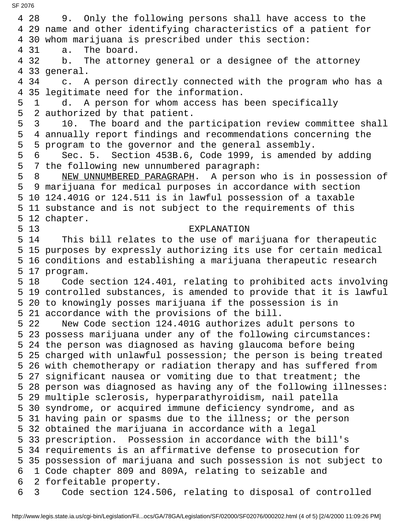4 28 9. Only the following persons shall have access to the 4 29 name and other identifying characteristics of a patient for 4 30 whom marijuana is prescribed under this section: 4 31 a. The board. 4 32 b. The attorney general or a designee of the attorney 4 33 general. 4 34 c. A person directly connected with the program who has a 4 35 legitimate need for the information. 5 1 d. A person for whom access has been specifically 5 2 authorized by that patient. 5 3 10. The board and the participation review committee shall 5 4 annually report findings and recommendations concerning the 5 5 program to the governor and the general assembly. 5 6 Sec. 5. Section 453B.6, Code 1999, is amended by adding 5 7 the following new unnumbered paragraph: 5 8 NEW UNNUMBERED PARAGRAPH. A person who is in possession of 5 9 marijuana for medical purposes in accordance with section 5 10 124.401G or 124.511 is in lawful possession of a taxable 5 11 substance and is not subject to the requirements of this 5 12 chapter. 5 13 EXPLANATION 5 14 This bill relates to the use of marijuana for therapeutic 5 15 purposes by expressly authorizing its use for certain medical 5 16 conditions and establishing a marijuana therapeutic research 5 17 program. 5 18 Code section 124.401, relating to prohibited acts involving 5 19 controlled substances, is amended to provide that it is lawful 5 20 to knowingly posses marijuana if the possession is in 5 21 accordance with the provisions of the bill. 5 22 New Code section 124.401G authorizes adult persons to 5 23 possess marijuana under any of the following circumstances: 5 24 the person was diagnosed as having glaucoma before being 5 25 charged with unlawful possession; the person is being treated 5 26 with chemotherapy or radiation therapy and has suffered from 5 27 significant nausea or vomiting due to that treatment; the 5 28 person was diagnosed as having any of the following illnesses: 5 29 multiple sclerosis, hyperparathyroidism, nail patella 5 30 syndrome, or acquired immune deficiency syndrome, and as 5 31 having pain or spasms due to the illness; or the person 5 32 obtained the marijuana in accordance with a legal 5 33 prescription. Possession in accordance with the bill's 5 34 requirements is an affirmative defense to prosecution for 5 35 possession of marijuana and such possession is not subject to 6 1 Code chapter 809 and 809A, relating to seizable and 6 2 forfeitable property. 6 3 Code section 124.506, relating to disposal of controlled